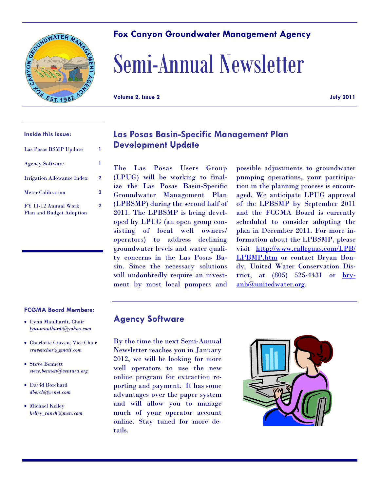# **Fox Canyon Groundwater Management Agency**

# Semi-Annual Newsletter

**Volume 2, Issue 2 July 2011**

### **Inside this issue:**

CANYON GAO

| Las Posas BSMP Update                                   |             |
|---------------------------------------------------------|-------------|
| <b>Agency Software</b>                                  |             |
| <b>Irrigation Allowance Index</b>                       | 2           |
| <b>Meter Calibration</b>                                | 2           |
| FY 11-12 Annual Work<br><b>Plan and Budget Adoption</b> | $\mathbf 2$ |

### **FCGMA Board Members:**

- Lynn Maulhardt, Chair *lynnmaulhardt@yahoo.com*
- Charlotte Craven, Vice Chair *cravenchar@gmail.com*
- Steve Bennett *steve.bennett@ventura.org*
- David Borchard *dborch@vcnet.com*
- Michael Kelley *kelley\_ranch@msn.com*

# **Las Posas Basin-Specific Management Plan Development Update**

The Las Posas Users Group (LPUG) will be working to finalize the Las Posas Basin-Specific Groundwater Management Plan (LPBSMP) during the second half of 2011. The LPBSMP is being developed by LPUG (an open group consisting of local well owners/ operators) to address declining groundwater levels and water quality concerns in the Las Posas Basin. Since the necessary solutions will undoubtedly require an investment by most local pumpers and

possible adjustments to groundwater pumping operations, your participation in the planning process is encouraged. We anticipate LPUG approval of the LPBSMP by September 2011 and the FCGMA Board is currently scheduled to consider adopting the plan in December 2011. For more information about the LPBSMP, please visit http://www.calleguas.com/LPB/ LPBMP.htm or contact Bryan Bondy, United Water Conservation District, at  $(805)$  525-4431 or  $brv-$ </u> anb@unitedwater.org.

## **Agency Software**

By the time the next Semi-Annual Newsletter reaches you in January 2012, we will be looking for more well operators to use the new online program for extraction reporting and payment. It has some advantages over the paper system and will allow you to manage much of your operator account online. Stay tuned for more details.